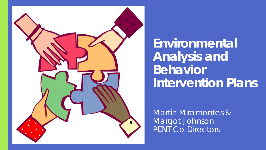

**Environmental Analysis and Behavior Intervention Plans**

Martin Miramontes & Margot Johnson PENT Co-Directors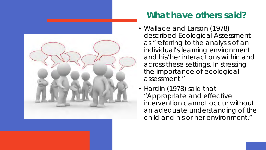

#### **What have others said?**

- Wallace and Larson (1978) described Ecological Assessment as "*referring to the analysis of an individual's learning environment and his/her interactions within and across these settings. In stressing the importance of ecological assessment."*
- Hardin (1978) said that *"Appropriate and effective intervention cannot occur without an adequate understanding of the child and his or her environment."*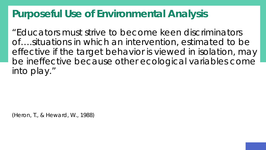#### **Purposeful Use of Environmental Analysis**

"Educators must strive to become keen discriminators of….situations in which an intervention, estimated to be effective if the target behavior is viewed in isolation, may be ineffective because other ecological variables come into play."

(Heron, T., & Heward, W., 1988)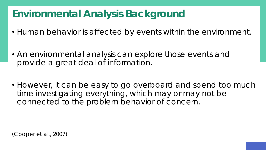### **Environmental Analysis Background**

- Human behavior is affected by events within the environment.
- An environmental analysis can explore those events and provide a great deal of information.
- However, it can be easy to go overboard and spend too much time investigating everything, which may or may not be connected to the problem behavior of concern.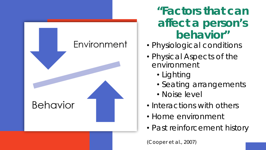

**"Factors that can affect a person's behavior"**

- Physiological conditions
- Physical Aspects of the environment
	- Lighting
	- Seating arrangements
	- Noise level
- Interactions with others
- Home environment
- Past reinforcement history

(Cooper et al., 2007)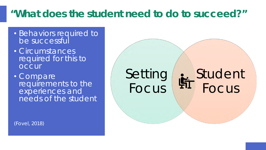#### **"What does the student need to do to succeed?"**

- Behaviors required to be successful
- Circumstances required for this to **OCCUL**
- Compare requirements to the experiences and needs of the student

Setting Focus

## Student Focus

(Fovel, 2018)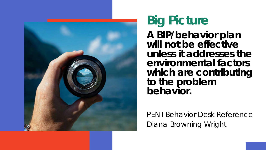

#### **Big Picture A BIP/behavior plan will not be effective unless it addresses the environmental factors which are contributing to the problem behavior.**

*PENT Behavior Desk Reference Diana Browning Wright*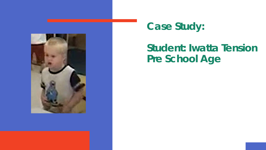

#### **Case Study:**

### **Student: Iwatta Tension Pre School Age**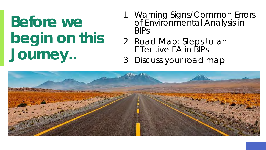# **Before we begin on this Journey..**

- 1. Warning Signs/Common Errors of Environmental Analysis in BIPs
- 2. Road Map: Steps to an Effective EA in BIPs
- 3. Discuss your road map

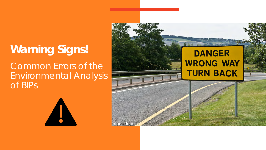## **Warning Signs!**  Common Errors of the Environmental Analysis

of BIPs

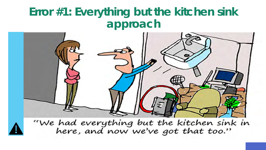## **Error #1: Everything but the kitchen sink approach**



"We had everything but the kitchen sink in<br>here, and now we've got that too."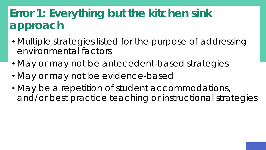## Error 1: Everything but the kitchen sink **approach**

- Multiple strategies listed for the purpose of addressing environmental factors
- May or may not be antecedent-based strategies
- May or may not be evidence-based
- May be a repetition of student accommodations, and/or best practice teaching or instructional strategies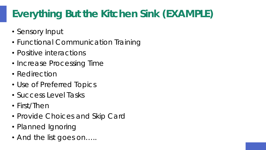## **Everything But the Kitchen Sink (EXAMPLE)**

- Sensory Input
- Functional Communication Training
- Positive interactions
- Increase Processing Time
- Redirection
- Use of Preferred Topics
- Success Level Tasks
- First/Then
- Provide Choices and Skip Card
- Planned Ignoring
- *And the list goes on…..*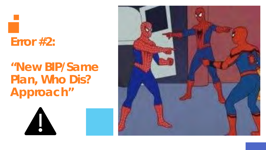## **Error #2:**

A

## **"New BIP/Same Plan, Who Dis? Approach"**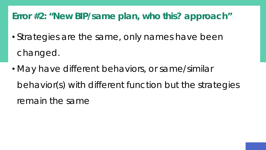#### **Error #2: "New BIP/same plan, who this? approach"**

- Strategies are the same, only names have been changed.
- May have different behaviors, or same/similar behavior(s) with different function but the strategies remain the same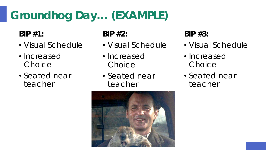## **Groundhog Day… (EXAMPLE)**

**BIP #1:** 

- Visual Schedule
- Increased **Choice**
- Seated near teacher

**BIP #2:** 

- Visual Schedule
- Increased **Choice**
- Seated near teacher

**BIP #3:** 

- Visual Schedule
- Increased Choice
- Seated near teacher

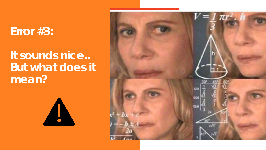#### **Error #3:**

## **It sounds nice.. But what does it mean?**



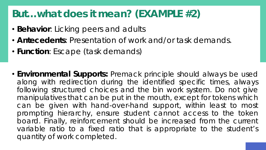#### **But…what does it mean? (EXAMPLE #2)**

- **Behavior**: Licking peers and adults
- **Antecedents**: Presentation of work and/or task demands.
- **Function**: Escape (task demands)
- Environmental Supports: Premack principle should always be used along with redirection during the identified specific times, always following structured choices and the bin work system. Do not give manipulatives that can be put in the mouth, except for tokens which can be given with hand-over-hand support, within least to most prompting hierarchy, ensure student cannot access to the token board. Finally, reinforcement should be increased from the current variable ratio to a fixed ratio that is appropriate to the student's quantity of work completed.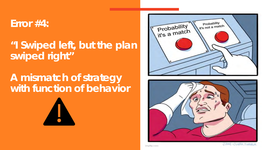#### **Error #4:**

**"I Swiped left, but the plan swiped right"** 

#### **A mismatch of strategy with function of behavior**







J AME - CLARK. TUMBLA

imgflip.com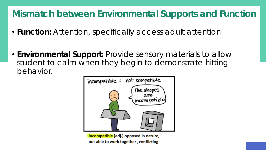#### **Mismatch between Environmental Supports and Function**

- *Function:* Attention, specifically access adult attention
- *Environmental Support:* Provide sensory materials to allow student to calm when they begin to demonstrate hitting behavior.



incompatible (adj.) opposed in nature, not able to work together, conflicting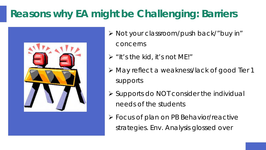## **Reasons why EA might be Challenging: Barriers**



Ø Not your classroom/push back/"buy in"

concerns

- $\triangleright$  "It's the kid, it's not ME!"
- Ø May reflect a weakness/lack of good Tier 1 supports
- $\triangleright$  Supports do NOT consider the individual needs of the students
- Ø Focus of plan on PB Behavior/reactive strategies. Env. Analysis glossed over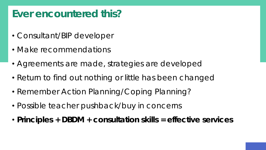#### **Ever encountered this?**

- Consultant/BIP developer
- Make recommendations
- Agreements are made, strategies are developed
- Return to find out nothing or little has been changed
- Remember Action Planning/Coping Planning?
- Possible teacher pushback/buy in concerns
- **Principles + DBDM + consultation skills = effective services**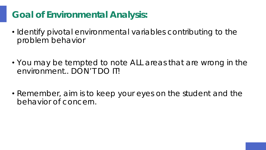#### **Goal of Environmental Analysis:**

- Identify pivotal environmental variables contributing to the problem behavior
- You may be tempted to note ALL areas that are wrong in the environment.. DON'T DO IT!
- Remember, aim is to keep your eyes on the student and the behavior of concern.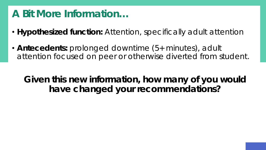#### **A Bit More Information…**

- **Hypothesized function:** Attention, specifically adult attention
- **Antecedents:** prolonged downtime (5+ minutes), adult attention focused on peer or otherwise diverted from student.

**Given this new information, how many of you would have changed your recommendations?**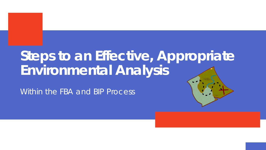## **Steps to an Effective, Appropriate Environmental Analysis**

Within the FBA and BIP Process

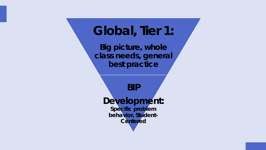## **Global, Tier 1:**

**Big picture, whole class needs, general best practice**

**BIP Development: Specific problem behavior, Student-Centered**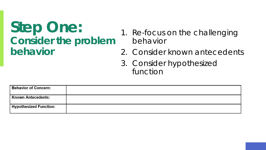## **Step One: Consider the problem behavior**

- 1. Re-focus on the challenging behavior
- 2. Consider known antecedents
- 3. Consider hypothesized function

| <b>Behavior of Concern:</b>   |  |
|-------------------------------|--|
| <b>Known Antecedents:</b>     |  |
| <b>Hypothesized Function:</b> |  |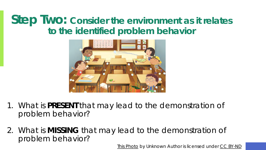#### **Step Two: Consider the environment** *as it relates* **to the identified problem behavior**



- 1. What is **PRESENT** that may lead to the demonstration of problem behavior?
- 2. What is **MISSING** that may lead to the demonstration of problem behavior?

[This Photo](https://theconversation.com/students-who-repeat-a-year-stoke-bad-behaviour-in-class-23956) by Unknown Author is licensed under [CC BY-ND](https://creativecommons.org/licenses/by-nd/3.0/)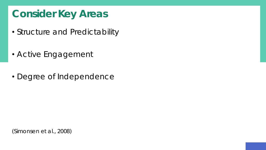### **Consider Key Areas**

- Structure and Predictability
- Active Engagement
- Degree of Independence

(Simonsen et al., 2008)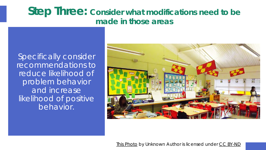#### **Step Three: Consider what modifications need to be made in those areas**

Specifically consider recommendations to *reduce* likelihood of problem behavior and *increase* likelihood of positive behavior.



[This Photo](http://theconversation.com/classroom-design-can-boost-primary-pupils-progress-by-16-37996) by Unknown Author is licensed under [CC BY-ND](https://creativecommons.org/licenses/by-nd/3.0/)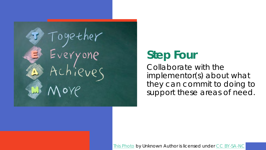Together<br>Everyone<br>Achieves Noye

### **Step Four**

Collaborate with the implementor(s) about what they can commit to doing to support these areas of need.

[This Photo](http://www.mediafactory.org.au/liwan-li/2016/05/31/lecture-of-collaboration/) by Unknown Author is licensed under [CC BY-SA-NC](https://creativecommons.org/licenses/by-nc-sa/3.0/)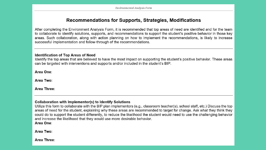#### Recommendations for Supports, Strategies, Modifications

After completing the Environment Analysis Form, it is recommended that top areas of need are identified and for the team to collaborate to identify solutions, supports, and recommendations to support the student's positive behavior in those key areas. Such collaboration, along with action planning on how to implement the recommendations, is likely to increase successful implementation and follow-through of the recommendations.

#### **Identification of Top Areas of Need**

Identify the top areas that are believed to have the most impact on supporting the student's positive behavior. These areas can be targeted with interventions and supports and/or included in the student's BIP.

Area One:

Area Two:

Area Three:

#### Collaboration with Implementor(s) to Identify Solutions

Utilize this form to collaborate with the BIP plan implementors (e.g., classroom teacher(s), school staff, etc.) Discuss the top areas of need for the student, explaining why these areas are recommended to target for change. Ask what they think they could do to support the student differently, to reduce the likelihood the student would need to use the challenging behavior and increase the likelihood that they would use more desirable behavior.

Area One:

Area Two:

Area Three: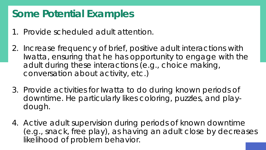#### **Some Potential Examples**

- 1. Provide scheduled adult attention.
- 2. Increase frequency of brief, positive adult interactions with Iwatta, ensuring that he has opportunity to engage with the adult during these interactions (e.g., choice making, conversation about activity, etc.)
- 3. Provide activities for Iwatta to do during known periods of downtime. He particularly likes coloring, puzzles, and playdough.
- 4. Active adult supervision during periods of known downtime (e.g., snack, free play), as having an adult close by decreases likelihood of problem behavior.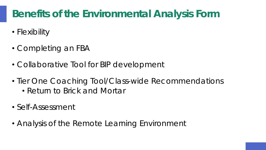## **Benefits of the Environmental Analysis Form**

- Flexibility
- Completing an FBA
- Collaborative Tool for BIP development
- Tier One Coaching Tool/Class-wide Recommendations
	- Return to Brick and Mortar
- Self-Assessment
- Analysis of the Remote Learning Environment